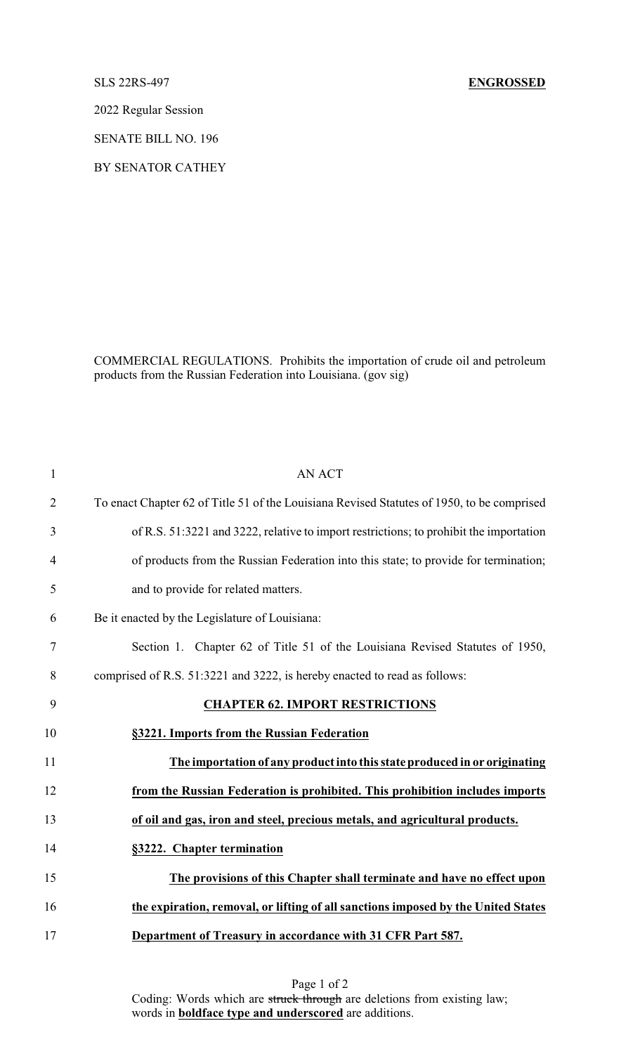2022 Regular Session

SENATE BILL NO. 196

BY SENATOR CATHEY

COMMERCIAL REGULATIONS. Prohibits the importation of crude oil and petroleum products from the Russian Federation into Louisiana. (gov sig)

| $\mathbf{1}$   | <b>AN ACT</b>                                                                              |
|----------------|--------------------------------------------------------------------------------------------|
| $\overline{2}$ | To enact Chapter 62 of Title 51 of the Louisiana Revised Statutes of 1950, to be comprised |
| 3              | of R.S. 51:3221 and 3222, relative to import restrictions; to prohibit the importation     |
| $\overline{4}$ | of products from the Russian Federation into this state; to provide for termination;       |
| 5              | and to provide for related matters.                                                        |
| 6              | Be it enacted by the Legislature of Louisiana:                                             |
| 7              | Section 1. Chapter 62 of Title 51 of the Louisiana Revised Statutes of 1950,               |
| 8              | comprised of R.S. 51:3221 and 3222, is hereby enacted to read as follows:                  |
| 9              | <b>CHAPTER 62. IMPORT RESTRICTIONS</b>                                                     |
| 10             | §3221. Imports from the Russian Federation                                                 |
| 11             | The importation of any product into this state produced in or originating                  |
| 12             | from the Russian Federation is prohibited. This prohibition includes imports               |
| 13             | of oil and gas, iron and steel, precious metals, and agricultural products.                |
| 14             | §3222. Chapter termination                                                                 |
| 15             | The provisions of this Chapter shall terminate and have no effect upon                     |
| 16             | the expiration, removal, or lifting of all sanctions imposed by the United States          |
| 17             | Department of Treasury in accordance with 31 CFR Part 587.                                 |

Page 1 of 2 Coding: Words which are struck through are deletions from existing law; words in **boldface type and underscored** are additions.